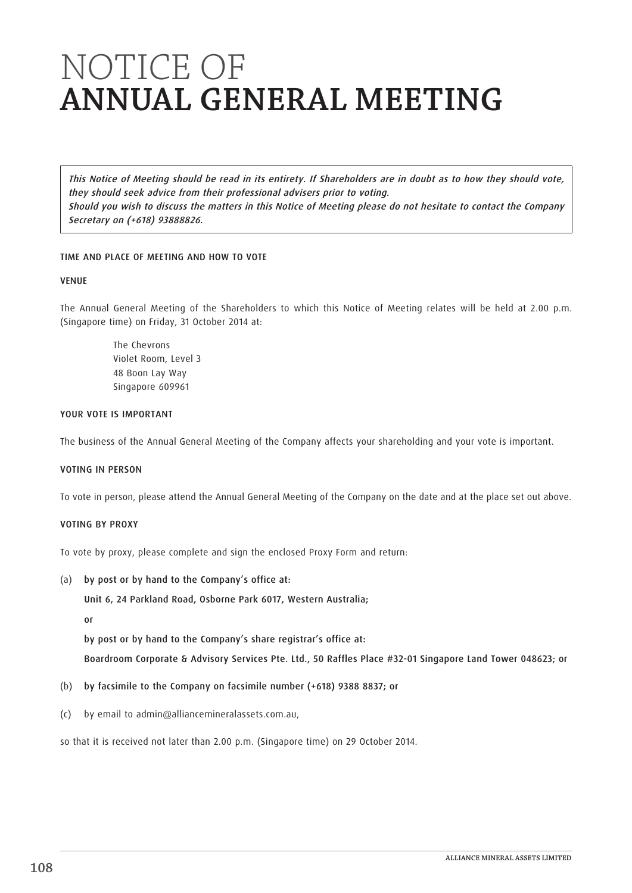This Notice of Meeting should be read in its entirety. If Shareholders are in doubt as to how they should vote, they should seek advice from their professional advisers prior to voting. Should you wish to discuss the matters in this Notice of Meeting please do not hesitate to contact the Company Secretary on (+618) 93888826.

# TIME AND PLACE OF MEETING AND HOW TO VOTE

## VENUE

The Annual General Meeting of the Shareholders to which this Notice of Meeting relates will be held at 2.00 p.m. (Singapore time) on Friday, 31 October 2014 at:

> The Chevrons Violet Room, Level 3 48 Boon Lay Way Singapore 609961

# YOUR VOTE IS IMPORTANT

The business of the Annual General Meeting of the Company affects your shareholding and your vote is important.

# VOTING IN PERSON

To vote in person, please attend the Annual General Meeting of the Company on the date and at the place set out above.

## VOTING BY PROXY

To vote by proxy, please complete and sign the enclosed Proxy Form and return:

(a) by post or by hand to the Company's office at:

Unit 6, 24 Parkland Road, Osborne Park 6017, Western Australia;

or

by post or by hand to the Company's share registrar's office at:

Boardroom Corporate & Advisory Services Pte. Ltd., 50 Raffles Place #32-01 Singapore Land Tower 048623; or

- (b) by facsimile to the Company on facsimile number (+618) 9388 8837; or
- (c) by email to admin@alliancemineralassets.com.au,

so that it is received not later than 2.00 p.m. (Singapore time) on 29 October 2014.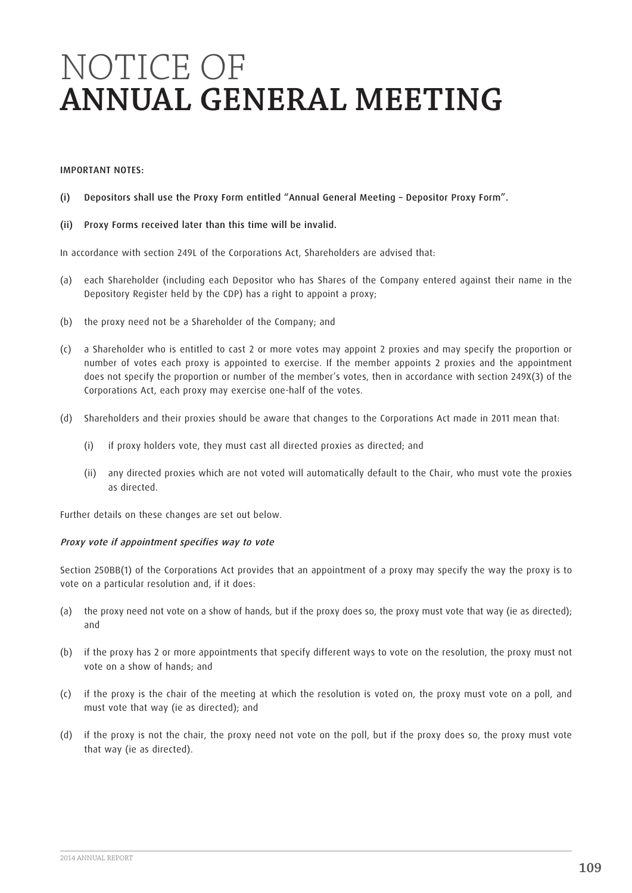#### IMPORTANT NOTES:

- (i) Depositors shall use the Proxy Form entitled "Annual General Meeting Depositor Proxy Form".
- (ii) Proxy Forms received later than this time will be invalid.

In accordance with section 249L of the Corporations Act, Shareholders are advised that:

- (a) each Shareholder (including each Depositor who has Shares of the Company entered against their name in the Depository Register held by the CDP) has a right to appoint a proxy;
- (b) the proxy need not be a Shareholder of the Company; and
- (c) a Shareholder who is entitled to cast 2 or more votes may appoint 2 proxies and may specify the proportion or number of votes each proxy is appointed to exercise. If the member appoints 2 proxies and the appointment does not specify the proportion or number of the member's votes, then in accordance with section 249X(3) of the Corporations Act, each proxy may exercise one-half of the votes.
- (d) Shareholders and their proxies should be aware that changes to the Corporations Act made in 2011 mean that:
	- (i) if proxy holders vote, they must cast all directed proxies as directed; and
	- (ii) any directed proxies which are not voted will automatically default to the Chair, who must vote the proxies as directed.

Further details on these changes are set out below.

## Proxy vote if appointment specifies way to vote

Section 250BB(1) of the Corporations Act provides that an appointment of a proxy may specify the way the proxy is to vote on a particular resolution and, if it does:

- (a) the proxy need not vote on a show of hands, but if the proxy does so, the proxy must vote that way (ie as directed); and
- (b) if the proxy has 2 or more appointments that specify different ways to vote on the resolution, the proxy must not vote on a show of hands; and
- (c) if the proxy is the chair of the meeting at which the resolution is voted on, the proxy must vote on a poll, and must vote that way (ie as directed); and
- (d) if the proxy is not the chair, the proxy need not vote on the poll, but if the proxy does so, the proxy must vote that way (ie as directed).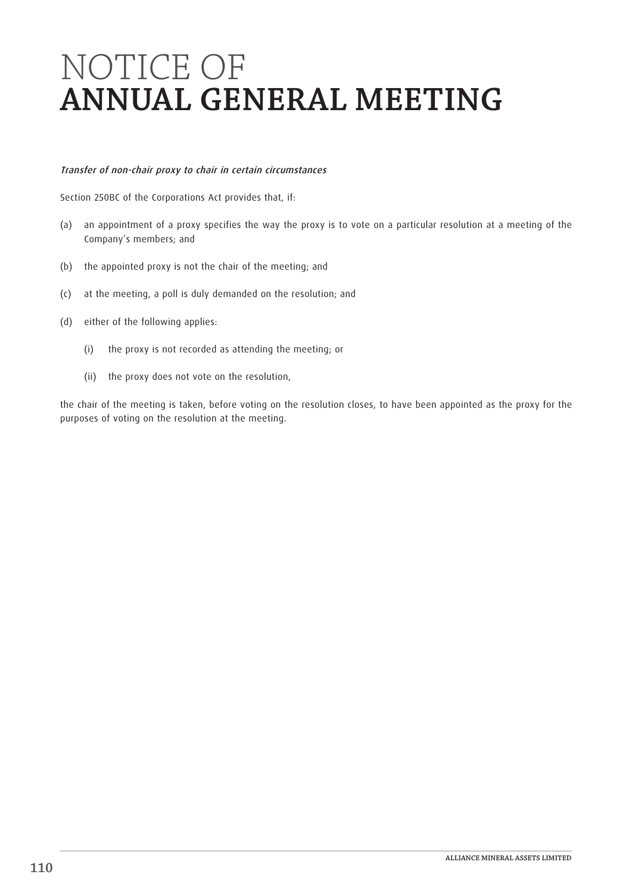# Transfer of non-chair proxy to chair in certain circumstances

Section 250BC of the Corporations Act provides that, if:

- (a) an appointment of a proxy specifies the way the proxy is to vote on a particular resolution at a meeting of the Company's members; and
- (b) the appointed proxy is not the chair of the meeting; and
- (c) at the meeting, a poll is duly demanded on the resolution; and
- (d) either of the following applies:
	- (i) the proxy is not recorded as attending the meeting; or
	- (ii) the proxy does not vote on the resolution,

the chair of the meeting is taken, before voting on the resolution closes, to have been appointed as the proxy for the purposes of voting on the resolution at the meeting.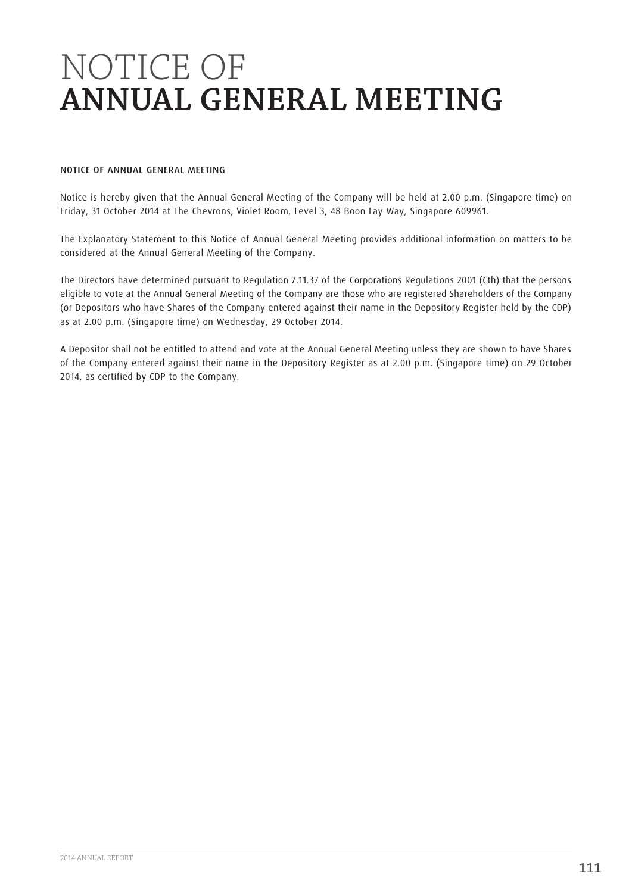## NOTICE OF ANNUAL GENERAL MEETING

Notice is hereby given that the Annual General Meeting of the Company will be held at 2.00 p.m. (Singapore time) on Friday, 31 October 2014 at The Chevrons, Violet Room, Level 3, 48 Boon Lay Way, Singapore 609961.

The Explanatory Statement to this Notice of Annual General Meeting provides additional information on matters to be considered at the Annual General Meeting of the Company.

The Directors have determined pursuant to Regulation 7.11.37 of the Corporations Regulations 2001 (Cth) that the persons eligible to vote at the Annual General Meeting of the Company are those who are registered Shareholders of the Company (or Depositors who have Shares of the Company entered against their name in the Depository Register held by the CDP) as at 2.00 p.m. (Singapore time) on Wednesday, 29 October 2014.

A Depositor shall not be entitled to attend and vote at the Annual General Meeting unless they are shown to have Shares of the Company entered against their name in the Depository Register as at 2.00 p.m. (Singapore time) on 29 October 2014, as certified by CDP to the Company.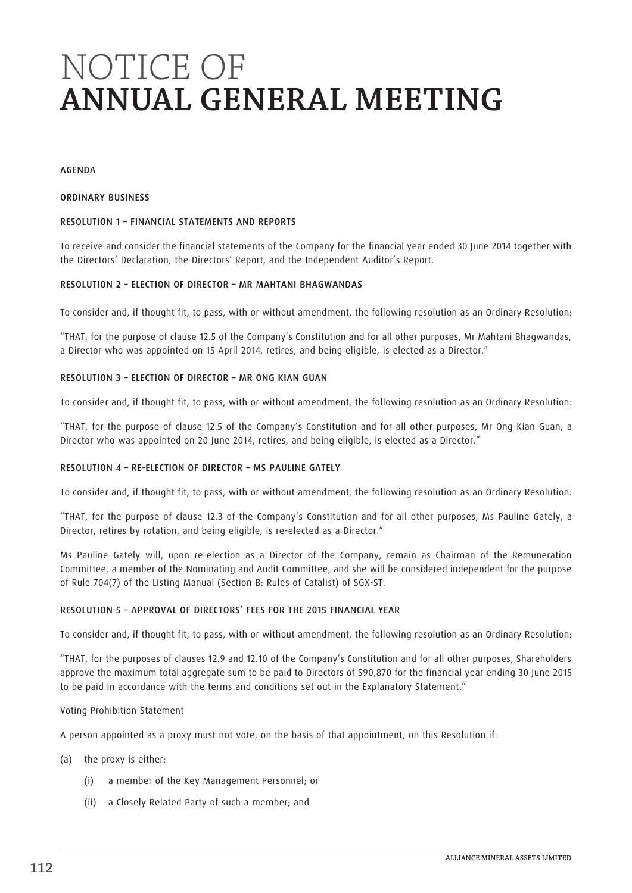#### AGENDA

#### ORDINARY BUSINESS

## RESOLUTION 1 – FINANCIAL STATEMENTS AND REPORTS

To receive and consider the financial statements of the Company for the financial year ended 30 June 2014 together with the Directors' Declaration, the Directors' Report, and the Independent Auditor's Report.

# RESOLUTION 2 – ELECTION OF DIRECTOR – MR MAHTANI BHAGWANDAS

To consider and, if thought fit, to pass, with or without amendment, the following resolution as an Ordinary Resolution:

"THAT, for the purpose of clause 12.5 of the Company's Constitution and for all other purposes, Mr Mahtani Bhagwandas, a Director who was appointed on 15 April 2014, retires, and being eligible, is elected as a Director."

#### RESOLUTION 3 – ELECTION OF DIRECTOR – MR ONG KIAN GUAN

To consider and, if thought fit, to pass, with or without amendment, the following resolution as an Ordinary Resolution:

"THAT, for the purpose of clause 12.5 of the Company's Constitution and for all other purposes, Mr Ong Kian Guan, a Director who was appointed on 20 June 2014, retires, and being eligible, is elected as a Director."

## RESOLUTION 4 – RE-ELECTION OF DIRECTOR – MS PAULINE GATELY

To consider and, if thought fit, to pass, with or without amendment, the following resolution as an Ordinary Resolution:

"THAT, for the purpose of clause 12.3 of the Company's Constitution and for all other purposes, Ms Pauline Gately, a Director, retires by rotation, and being eligible, is re-elected as a Director."

Ms Pauline Gately will, upon re-election as a Director of the Company, remain as Chairman of the Remuneration Committee, a member of the Nominating and Audit Committee, and she will be considered independent for the purpose of Rule 704(7) of the Listing Manual (Section B: Rules of Catalist) of SGX-ST.

## RESOLUTION 5 – APPROVAL OF DIRECTORS' FEES FOR THE 2015 FINANCIAL YEAR

To consider and, if thought fit, to pass, with or without amendment, the following resolution as an Ordinary Resolution:

"THAT, for the purposes of clauses 12.9 and 12.10 of the Company's Constitution and for all other purposes, Shareholders approve the maximum total aggregate sum to be paid to Directors of \$90,870 for the financial year ending 30 June 2015 to be paid in accordance with the terms and conditions set out in the Explanatory Statement."

#### Voting Prohibition Statement

A person appointed as a proxy must not vote, on the basis of that appointment, on this Resolution if:

- (a) the proxy is either:
	- (i) a member of the Key Management Personnel; or
	- (ii) a Closely Related Party of such a member; and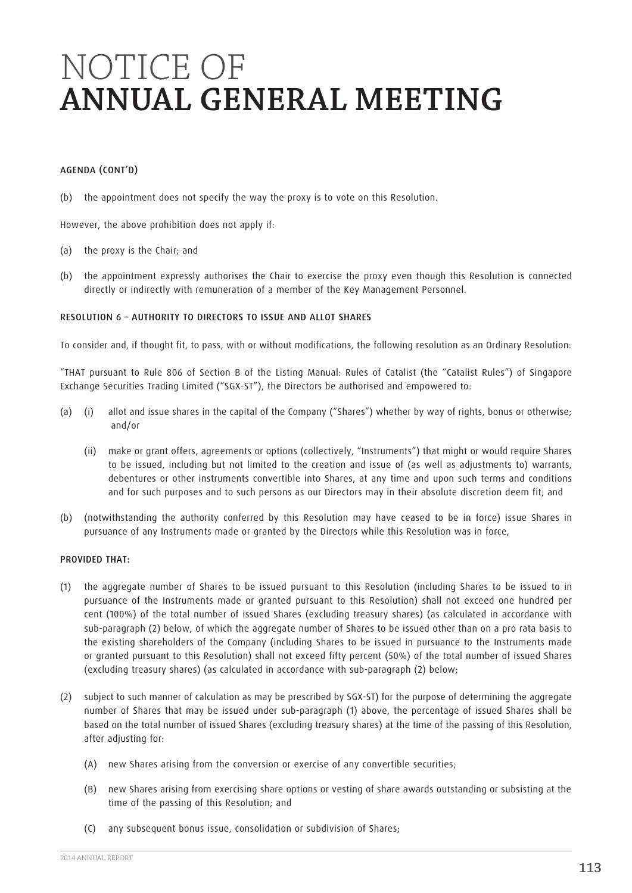## AGENDA (CONT'D)

(b) the appointment does not specify the way the proxy is to vote on this Resolution.

However, the above prohibition does not apply if:

- (a) the proxy is the Chair; and
- (b) the appointment expressly authorises the Chair to exercise the proxy even though this Resolution is connected directly or indirectly with remuneration of a member of the Key Management Personnel.

#### RESOLUTION 6 – AUTHORITY TO DIRECTORS TO ISSUE AND ALLOT SHARES

To consider and, if thought fit, to pass, with or without modifications, the following resolution as an Ordinary Resolution:

"THAT pursuant to Rule 806 of Section B of the Listing Manual: Rules of Catalist (the "Catalist Rules") of Singapore Exchange Securities Trading Limited ("SGX-ST"), the Directors be authorised and empowered to:

- (a) (i) allot and issue shares in the capital of the Company ("Shares") whether by way of rights, bonus or otherwise; and/or
	- (ii) make or grant offers, agreements or options (collectively, "Instruments") that might or would require Shares to be issued, including but not limited to the creation and issue of (as well as adjustments to) warrants, debentures or other instruments convertible into Shares, at any time and upon such terms and conditions and for such purposes and to such persons as our Directors may in their absolute discretion deem fit; and
- (b) (notwithstanding the authority conferred by this Resolution may have ceased to be in force) issue Shares in pursuance of any Instruments made or granted by the Directors while this Resolution was in force,

#### PROVIDED THAT:

- (1) the aggregate number of Shares to be issued pursuant to this Resolution (including Shares to be issued to in pursuance of the Instruments made or granted pursuant to this Resolution) shall not exceed one hundred per cent (100%) of the total number of issued Shares (excluding treasury shares) (as calculated in accordance with sub-paragraph (2) below, of which the aggregate number of Shares to be issued other than on a pro rata basis to the existing shareholders of the Company (including Shares to be issued in pursuance to the Instruments made or granted pursuant to this Resolution) shall not exceed fifty percent (50%) of the total number of issued Shares (excluding treasury shares) (as calculated in accordance with sub-paragraph (2) below;
- (2) subject to such manner of calculation as may be prescribed by SGX-ST) for the purpose of determining the aggregate number of Shares that may be issued under sub-paragraph (1) above, the percentage of issued Shares shall be based on the total number of issued Shares (excluding treasury shares) at the time of the passing of this Resolution, after adjusting for:
	- (A) new Shares arising from the conversion or exercise of any convertible securities;
	- (B) new Shares arising from exercising share options or vesting of share awards outstanding or subsisting at the time of the passing of this Resolution; and
	- (C) any subsequent bonus issue, consolidation or subdivision of Shares;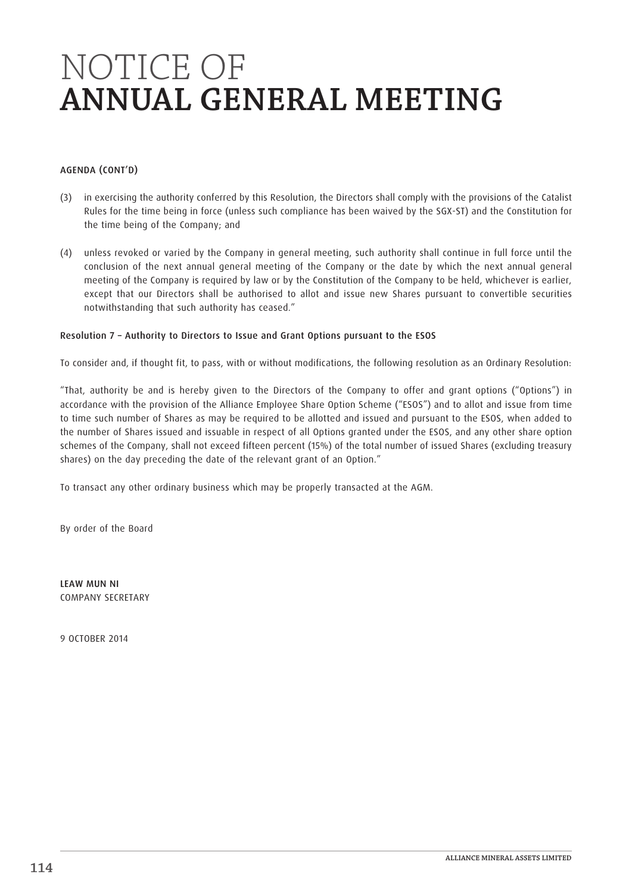# AGENDA (CONT'D)

- (3) in exercising the authority conferred by this Resolution, the Directors shall comply with the provisions of the Catalist Rules for the time being in force (unless such compliance has been waived by the SGX-ST) and the Constitution for the time being of the Company; and
- (4) unless revoked or varied by the Company in general meeting, such authority shall continue in full force until the conclusion of the next annual general meeting of the Company or the date by which the next annual general meeting of the Company is required by law or by the Constitution of the Company to be held, whichever is earlier, except that our Directors shall be authorised to allot and issue new Shares pursuant to convertible securities notwithstanding that such authority has ceased."

# Resolution 7 – Authority to Directors to Issue and Grant Options pursuant to the ESOS

To consider and, if thought fit, to pass, with or without modifications, the following resolution as an Ordinary Resolution:

"That, authority be and is hereby given to the Directors of the Company to offer and grant options ("Options") in accordance with the provision of the Alliance Employee Share Option Scheme ("ESOS") and to allot and issue from time to time such number of Shares as may be required to be allotted and issued and pursuant to the ESOS, when added to the number of Shares issued and issuable in respect of all Options granted under the ESOS, and any other share option schemes of the Company, shall not exceed fifteen percent (15%) of the total number of issued Shares (excluding treasury shares) on the day preceding the date of the relevant grant of an Option."

To transact any other ordinary business which may be properly transacted at the AGM.

By order of the Board

LEAW MUN NI COMPANY SECRETARY

9 OCTOBER 2014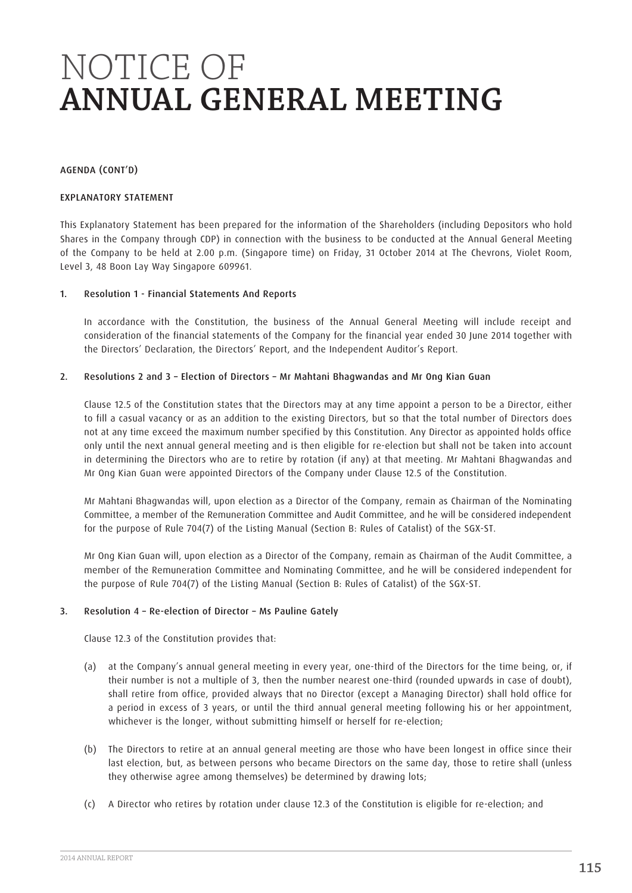AGENDA (CONT'D)

#### EXPLANATORY STATEMENT

This Explanatory Statement has been prepared for the information of the Shareholders (including Depositors who hold Shares in the Company through CDP) in connection with the business to be conducted at the Annual General Meeting of the Company to be held at 2.00 p.m. (Singapore time) on Friday, 31 October 2014 at The Chevrons, Violet Room, Level 3, 48 Boon Lay Way Singapore 609961.

## 1. Resolution 1 - Financial Statements And Reports

In accordance with the Constitution, the business of the Annual General Meeting will include receipt and consideration of the financial statements of the Company for the financial year ended 30 June 2014 together with the Directors' Declaration, the Directors' Report, and the Independent Auditor's Report.

#### 2. Resolutions 2 and 3 – Election of Directors – Mr Mahtani Bhagwandas and Mr Ong Kian Guan

Clause 12.5 of the Constitution states that the Directors may at any time appoint a person to be a Director, either to fill a casual vacancy or as an addition to the existing Directors, but so that the total number of Directors does not at any time exceed the maximum number specified by this Constitution. Any Director as appointed holds office only until the next annual general meeting and is then eligible for re-election but shall not be taken into account in determining the Directors who are to retire by rotation (if any) at that meeting. Mr Mahtani Bhagwandas and Mr Ong Kian Guan were appointed Directors of the Company under Clause 12.5 of the Constitution.

Mr Mahtani Bhagwandas will, upon election as a Director of the Company, remain as Chairman of the Nominating Committee, a member of the Remuneration Committee and Audit Committee, and he will be considered independent for the purpose of Rule 704(7) of the Listing Manual (Section B: Rules of Catalist) of the SGX-ST.

Mr Ong Kian Guan will, upon election as a Director of the Company, remain as Chairman of the Audit Committee, a member of the Remuneration Committee and Nominating Committee, and he will be considered independent for the purpose of Rule 704(7) of the Listing Manual (Section B: Rules of Catalist) of the SGX-ST.

## 3. Resolution 4 – Re-election of Director – Ms Pauline Gately

Clause 12.3 of the Constitution provides that:

- (a) at the Company's annual general meeting in every year, one-third of the Directors for the time being, or, if their number is not a multiple of 3, then the number nearest one-third (rounded upwards in case of doubt), shall retire from office, provided always that no Director (except a Managing Director) shall hold office for a period in excess of 3 years, or until the third annual general meeting following his or her appointment, whichever is the longer, without submitting himself or herself for re-election;
- (b) The Directors to retire at an annual general meeting are those who have been longest in office since their last election, but, as between persons who became Directors on the same day, those to retire shall (unless they otherwise agree among themselves) be determined by drawing lots;
- (c) A Director who retires by rotation under clause 12.3 of the Constitution is eligible for re-election; and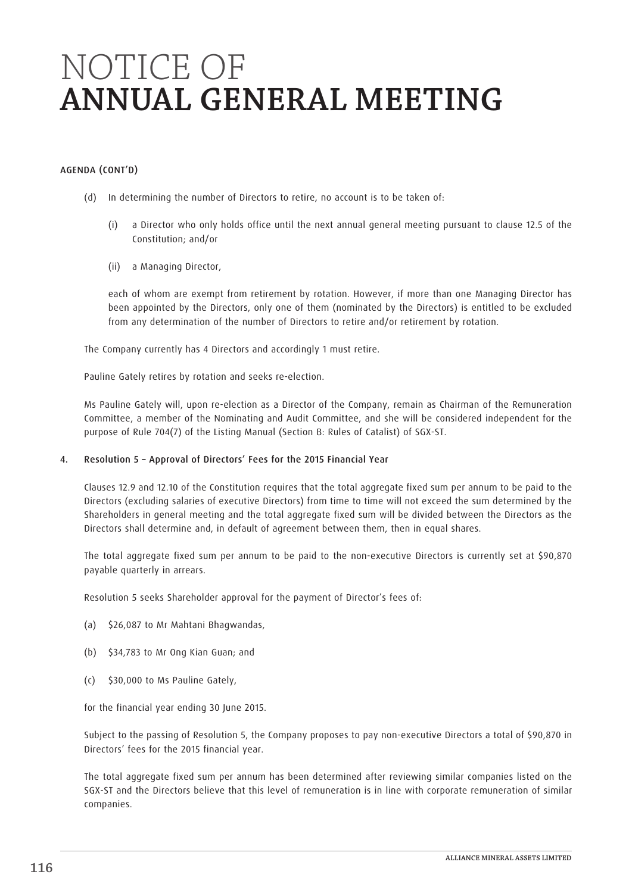# AGENDA (CONT'D)

- (d) In determining the number of Directors to retire, no account is to be taken of:
	- (i) a Director who only holds office until the next annual general meeting pursuant to clause 12.5 of the Constitution; and/or
	- (ii) a Managing Director,

each of whom are exempt from retirement by rotation. However, if more than one Managing Director has been appointed by the Directors, only one of them (nominated by the Directors) is entitled to be excluded from any determination of the number of Directors to retire and/or retirement by rotation.

The Company currently has 4 Directors and accordingly 1 must retire.

Pauline Gately retires by rotation and seeks re-election.

Ms Pauline Gately will, upon re-election as a Director of the Company, remain as Chairman of the Remuneration Committee, a member of the Nominating and Audit Committee, and she will be considered independent for the purpose of Rule 704(7) of the Listing Manual (Section B: Rules of Catalist) of SGX-ST.

## 4. Resolution 5 – Approval of Directors' Fees for the 2015 Financial Year

Clauses 12.9 and 12.10 of the Constitution requires that the total aggregate fixed sum per annum to be paid to the Directors (excluding salaries of executive Directors) from time to time will not exceed the sum determined by the Shareholders in general meeting and the total aggregate fixed sum will be divided between the Directors as the Directors shall determine and, in default of agreement between them, then in equal shares.

The total aggregate fixed sum per annum to be paid to the non-executive Directors is currently set at \$90,870 payable quarterly in arrears.

Resolution 5 seeks Shareholder approval for the payment of Director's fees of:

- (a) \$26,087 to Mr Mahtani Bhagwandas,
- (b) \$34,783 to Mr Ong Kian Guan; and
- (c) \$30,000 to Ms Pauline Gately,

for the financial year ending 30 June 2015.

Subject to the passing of Resolution 5, the Company proposes to pay non-executive Directors a total of \$90,870 in Directors' fees for the 2015 financial year.

The total aggregate fixed sum per annum has been determined after reviewing similar companies listed on the SGX-ST and the Directors believe that this level of remuneration is in line with corporate remuneration of similar companies.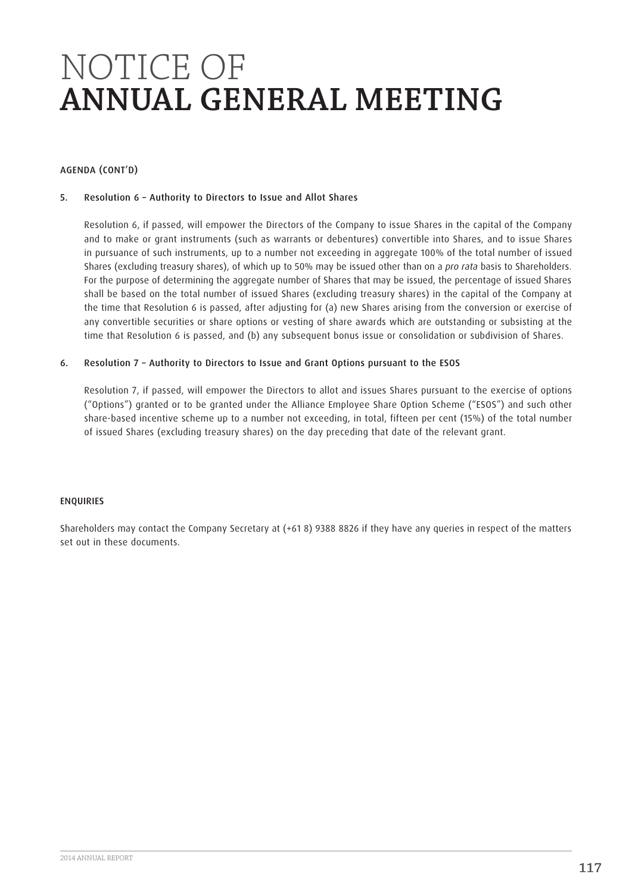# AGENDA (CONT'D)

# 5. Resolution 6 – Authority to Directors to Issue and Allot Shares

Resolution 6, if passed, will empower the Directors of the Company to issue Shares in the capital of the Company and to make or grant instruments (such as warrants or debentures) convertible into Shares, and to issue Shares in pursuance of such instruments, up to a number not exceeding in aggregate 100% of the total number of issued Shares (excluding treasury shares), of which up to 50% may be issued other than on a *pro rata* basis to Shareholders. For the purpose of determining the aggregate number of Shares that may be issued, the percentage of issued Shares shall be based on the total number of issued Shares (excluding treasury shares) in the capital of the Company at the time that Resolution 6 is passed, after adjusting for (a) new Shares arising from the conversion or exercise of any convertible securities or share options or vesting of share awards which are outstanding or subsisting at the time that Resolution 6 is passed, and (b) any subsequent bonus issue or consolidation or subdivision of Shares.

## 6. Resolution 7 – Authority to Directors to Issue and Grant Options pursuant to the ESOS

Resolution 7, if passed, will empower the Directors to allot and issues Shares pursuant to the exercise of options ("Options") granted or to be granted under the Alliance Employee Share Option Scheme ("ESOS") and such other share-based incentive scheme up to a number not exceeding, in total, fifteen per cent (15%) of the total number of issued Shares (excluding treasury shares) on the day preceding that date of the relevant grant.

## **ENQUIRIES**

Shareholders may contact the Company Secretary at (+61 8) 9388 8826 if they have any queries in respect of the matters set out in these documents.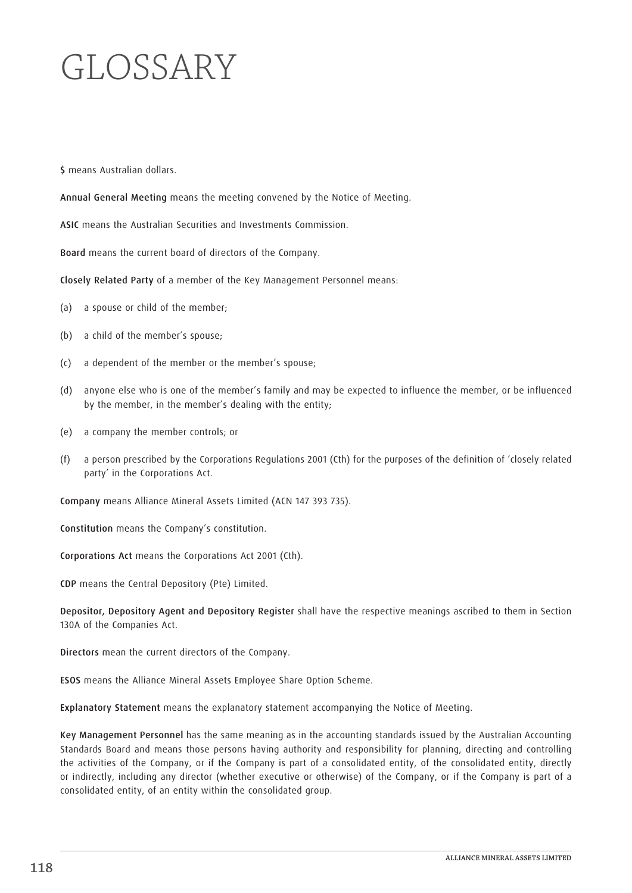# GLOSSARY

\$ means Australian dollars.

Annual General Meeting means the meeting convened by the Notice of Meeting.

ASIC means the Australian Securities and Investments Commission.

Board means the current board of directors of the Company.

Closely Related Party of a member of the Key Management Personnel means:

- (a) a spouse or child of the member;
- (b) a child of the member's spouse;
- (c) a dependent of the member or the member's spouse;
- (d) anyone else who is one of the member's family and may be expected to influence the member, or be influenced by the member, in the member's dealing with the entity;
- (e) a company the member controls; or
- (f) a person prescribed by the Corporations Regulations 2001 (Cth) for the purposes of the definition of 'closely related party' in the Corporations Act.

Company means Alliance Mineral Assets Limited (ACN 147 393 735).

Constitution means the Company's constitution.

Corporations Act means the Corporations Act 2001 (Cth).

CDP means the Central Depository (Pte) Limited.

Depositor, Depository Agent and Depository Register shall have the respective meanings ascribed to them in Section 130A of the Companies Act.

Directors mean the current directors of the Company.

ESOS means the Alliance Mineral Assets Employee Share Option Scheme.

Explanatory Statement means the explanatory statement accompanying the Notice of Meeting.

Key Management Personnel has the same meaning as in the accounting standards issued by the Australian Accounting Standards Board and means those persons having authority and responsibility for planning, directing and controlling the activities of the Company, or if the Company is part of a consolidated entity, of the consolidated entity, directly or indirectly, including any director (whether executive or otherwise) of the Company, or if the Company is part of a consolidated entity, of an entity within the consolidated group.